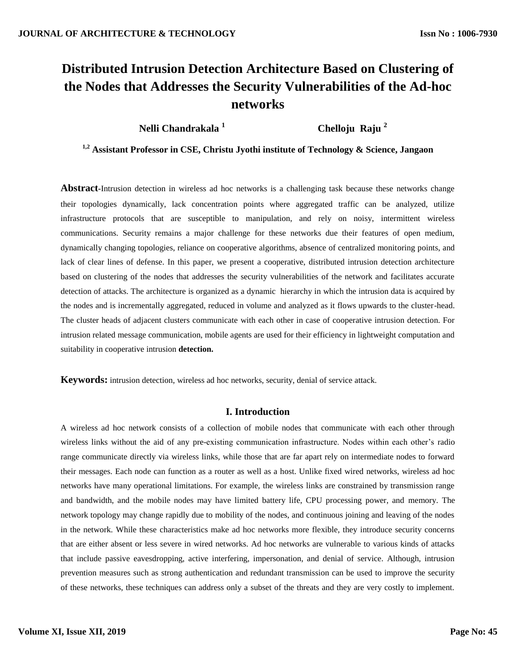# **Distributed Intrusion Detection Architecture Based on Clustering of the Nodes that Addresses the Security Vulnerabilities of the Ad-hoc networks**

 **Nelli Chandrakala <sup>1</sup>Chelloju Raju <sup>2</sup>**

**1,2 Assistant Professor in CSE, Christu Jyothi institute of Technology & Science, Jangaon**

**Abstract-**Intrusion detection in wireless ad hoc networks is a challenging task because these networks change their topologies dynamically, lack concentration points where aggregated traffic can be analyzed, utilize infrastructure protocols that are susceptible to manipulation, and rely on noisy, intermittent wireless communications. Security remains a major challenge for these networks due their features of open medium, dynamically changing topologies, reliance on cooperative algorithms, absence of centralized monitoring points, and lack of clear lines of defense. In this paper, we present a cooperative, distributed intrusion detection architecture based on clustering of the nodes that addresses the security vulnerabilities of the network and facilitates accurate detection of attacks. The architecture is organized as a dynamic hierarchy in which the intrusion data is acquired by the nodes and is incrementally aggregated, reduced in volume and analyzed as it flows upwards to the cluster-head. The cluster heads of adjacent clusters communicate with each other in case of cooperative intrusion detection. For intrusion related message communication, mobile agents are used for their efficiency in lightweight computation and suitability in cooperative intrusion **detection.**

**Keywords:** intrusion detection, wireless ad hoc networks, security, denial of service attack.

## **I. Introduction**

A wireless ad hoc network consists of a collection of mobile nodes that communicate with each other through wireless links without the aid of any pre-existing communication infrastructure. Nodes within each other's radio range communicate directly via wireless links, while those that are far apart rely on intermediate nodes to forward their messages. Each node can function as a router as well as a host. Unlike fixed wired networks, wireless ad hoc networks have many operational limitations. For example, the wireless links are constrained by transmission range and bandwidth, and the mobile nodes may have limited battery life, CPU processing power, and memory. The network topology may change rapidly due to mobility of the nodes, and continuous joining and leaving of the nodes in the network. While these characteristics make ad hoc networks more flexible, they introduce security concerns that are either absent or less severe in wired networks. Ad hoc networks are vulnerable to various kinds of attacks that include passive eavesdropping, active interfering, impersonation, and denial of service. Although, intrusion prevention measures such as strong authentication and redundant transmission can be used to improve the security of these networks, these techniques can address only a subset of the threats and they are very costly to implement.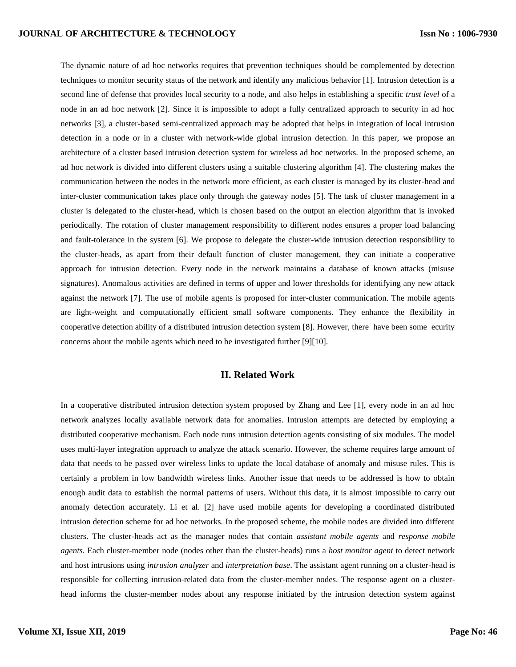The dynamic nature of ad hoc networks requires that prevention techniques should be complemented by detection techniques to monitor security status of the network and identify any malicious behavior [1]. Intrusion detection is a second line of defense that provides local security to a node, and also helps in establishing a specific *trust level* of a node in an ad hoc network [2]. Since it is impossible to adopt a fully centralized approach to security in ad hoc networks [3], a cluster-based semi-centralized approach may be adopted that helps in integration of local intrusion detection in a node or in a cluster with network-wide global intrusion detection. In this paper, we propose an architecture of a cluster based intrusion detection system for wireless ad hoc networks. In the proposed scheme, an ad hoc network is divided into different clusters using a suitable clustering algorithm [4]. The clustering makes the communication between the nodes in the network more efficient, as each cluster is managed by its cluster-head and inter-cluster communication takes place only through the gateway nodes [5]. The task of cluster management in a cluster is delegated to the cluster-head, which is chosen based on the output an election algorithm that is invoked periodically. The rotation of cluster management responsibility to different nodes ensures a proper load balancing and fault-tolerance in the system [6]. We propose to delegate the cluster-wide intrusion detection responsibility to the cluster-heads, as apart from their default function of cluster management, they can initiate a cooperative approach for intrusion detection. Every node in the network maintains a database of known attacks (misuse signatures). Anomalous activities are defined in terms of upper and lower thresholds for identifying any new attack against the network [7]. The use of mobile agents is proposed for inter-cluster communication. The mobile agents are light-weight and computationally efficient small software components. They enhance the flexibility in cooperative detection ability of a distributed intrusion detection system [8]. However, there have been some ecurity concerns about the mobile agents which need to be investigated further [9][10].

## **II. Related Work**

In a cooperative distributed intrusion detection system proposed by Zhang and Lee [1], every node in an ad hoc network analyzes locally available network data for anomalies. Intrusion attempts are detected by employing a distributed cooperative mechanism. Each node runs intrusion detection agents consisting of six modules. The model uses multi-layer integration approach to analyze the attack scenario. However, the scheme requires large amount of data that needs to be passed over wireless links to update the local database of anomaly and misuse rules. This is certainly a problem in low bandwidth wireless links. Another issue that needs to be addressed is how to obtain enough audit data to establish the normal patterns of users. Without this data, it is almost impossible to carry out anomaly detection accurately. Li et al. [2] have used mobile agents for developing a coordinated distributed intrusion detection scheme for ad hoc networks. In the proposed scheme, the mobile nodes are divided into different clusters. The cluster-heads act as the manager nodes that contain *assistant mobile agents* and *response mobile agents*. Each cluster-member node (nodes other than the cluster-heads) runs a *host monitor agent* to detect network and host intrusions using *intrusion analyzer* and *interpretation base*. The assistant agent running on a cluster-head is responsible for collecting intrusion-related data from the cluster-member nodes. The response agent on a clusterhead informs the cluster-member nodes about any response initiated by the intrusion detection system against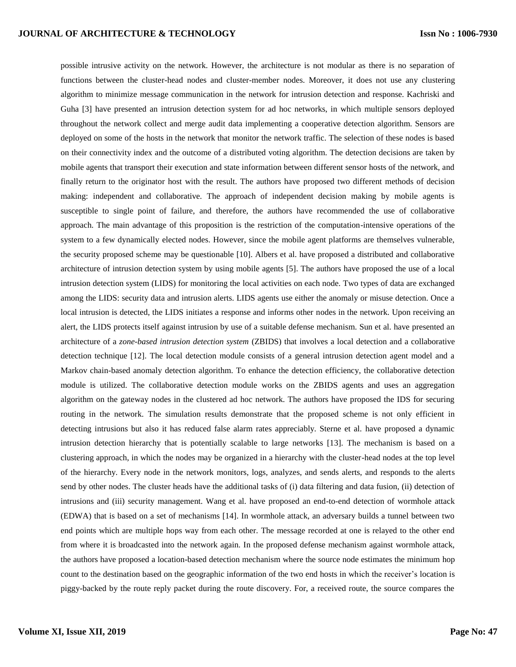possible intrusive activity on the network. However, the architecture is not modular as there is no separation of functions between the cluster-head nodes and cluster-member nodes. Moreover, it does not use any clustering algorithm to minimize message communication in the network for intrusion detection and response. Kachriski and Guha [3] have presented an intrusion detection system for ad hoc networks, in which multiple sensors deployed throughout the network collect and merge audit data implementing a cooperative detection algorithm. Sensors are deployed on some of the hosts in the network that monitor the network traffic. The selection of these nodes is based on their connectivity index and the outcome of a distributed voting algorithm. The detection decisions are taken by mobile agents that transport their execution and state information between different sensor hosts of the network, and finally return to the originator host with the result. The authors have proposed two different methods of decision making: independent and collaborative. The approach of independent decision making by mobile agents is susceptible to single point of failure, and therefore, the authors have recommended the use of collaborative approach. The main advantage of this proposition is the restriction of the computation-intensive operations of the system to a few dynamically elected nodes. However, since the mobile agent platforms are themselves vulnerable, the security proposed scheme may be questionable [10]. Albers et al. have proposed a distributed and collaborative architecture of intrusion detection system by using mobile agents [5]. The authors have proposed the use of a local intrusion detection system (LIDS) for monitoring the local activities on each node. Two types of data are exchanged among the LIDS: security data and intrusion alerts. LIDS agents use either the anomaly or misuse detection. Once a local intrusion is detected, the LIDS initiates a response and informs other nodes in the network. Upon receiving an alert, the LIDS protects itself against intrusion by use of a suitable defense mechanism. Sun et al. have presented an architecture of a *zone-based intrusion detection system* (ZBIDS) that involves a local detection and a collaborative detection technique [12]. The local detection module consists of a general intrusion detection agent model and a Markov chain-based anomaly detection algorithm. To enhance the detection efficiency, the collaborative detection module is utilized. The collaborative detection module works on the ZBIDS agents and uses an aggregation algorithm on the gateway nodes in the clustered ad hoc network. The authors have proposed the IDS for securing routing in the network. The simulation results demonstrate that the proposed scheme is not only efficient in detecting intrusions but also it has reduced false alarm rates appreciably. Sterne et al. have proposed a dynamic intrusion detection hierarchy that is potentially scalable to large networks [13]. The mechanism is based on a clustering approach, in which the nodes may be organized in a hierarchy with the cluster-head nodes at the top level of the hierarchy. Every node in the network monitors, logs, analyzes, and sends alerts, and responds to the alerts send by other nodes. The cluster heads have the additional tasks of (i) data filtering and data fusion, (ii) detection of intrusions and (iii) security management. Wang et al. have proposed an end-to-end detection of wormhole attack (EDWA) that is based on a set of mechanisms [14]. In wormhole attack, an adversary builds a tunnel between two end points which are multiple hops way from each other. The message recorded at one is relayed to the other end from where it is broadcasted into the network again. In the proposed defense mechanism against wormhole attack, the authors have proposed a location-based detection mechanism where the source node estimates the minimum hop count to the destination based on the geographic information of the two end hosts in which the receiver's location is piggy-backed by the route reply packet during the route discovery. For, a received route, the source compares the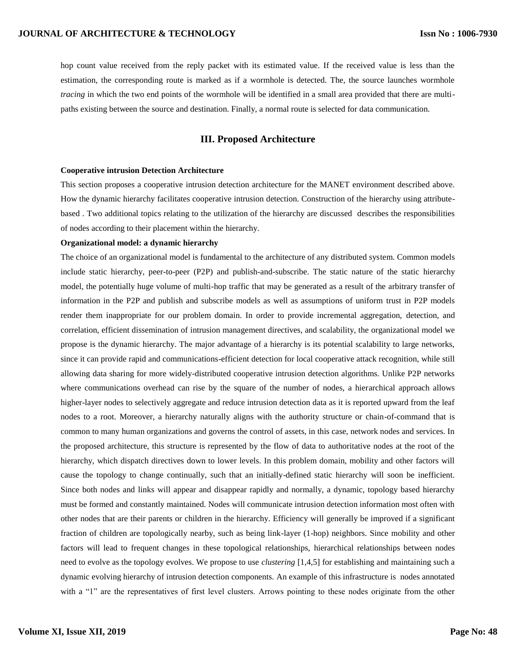hop count value received from the reply packet with its estimated value. If the received value is less than the estimation, the corresponding route is marked as if a wormhole is detected. The, the source launches wormhole *tracing* in which the two end points of the wormhole will be identified in a small area provided that there are multipaths existing between the source and destination. Finally, a normal route is selected for data communication.

## **III. Proposed Architecture**

#### **Cooperative intrusion Detection Architecture**

This section proposes a cooperative intrusion detection architecture for the MANET environment described above. How the dynamic hierarchy facilitates cooperative intrusion detection. Construction of the hierarchy using attributebased . Two additional topics relating to the utilization of the hierarchy are discussed describes the responsibilities of nodes according to their placement within the hierarchy.

#### **Organizational model: a dynamic hierarchy**

The choice of an organizational model is fundamental to the architecture of any distributed system. Common models include static hierarchy, peer-to-peer (P2P) and publish-and-subscribe. The static nature of the static hierarchy model, the potentially huge volume of multi-hop traffic that may be generated as a result of the arbitrary transfer of information in the P2P and publish and subscribe models as well as assumptions of uniform trust in P2P models render them inappropriate for our problem domain. In order to provide incremental aggregation, detection, and correlation, efficient dissemination of intrusion management directives, and scalability, the organizational model we propose is the dynamic hierarchy. The major advantage of a hierarchy is its potential scalability to large networks, since it can provide rapid and communications-efficient detection for local cooperative attack recognition, while still allowing data sharing for more widely-distributed cooperative intrusion detection algorithms. Unlike P2P networks where communications overhead can rise by the square of the number of nodes, a hierarchical approach allows higher-layer nodes to selectively aggregate and reduce intrusion detection data as it is reported upward from the leaf nodes to a root. Moreover, a hierarchy naturally aligns with the authority structure or chain-of-command that is common to many human organizations and governs the control of assets, in this case, network nodes and services. In the proposed architecture, this structure is represented by the flow of data to authoritative nodes at the root of the hierarchy, which dispatch directives down to lower levels. In this problem domain, mobility and other factors will cause the topology to change continually, such that an initially-defined static hierarchy will soon be inefficient. Since both nodes and links will appear and disappear rapidly and normally, a dynamic, topology based hierarchy must be formed and constantly maintained. Nodes will communicate intrusion detection information most often with other nodes that are their parents or children in the hierarchy. Efficiency will generally be improved if a significant fraction of children are topologically nearby, such as being link-layer (1-hop) neighbors. Since mobility and other factors will lead to frequent changes in these topological relationships, hierarchical relationships between nodes need to evolve as the topology evolves. We propose to use *clustering* [1,4,5] for establishing and maintaining such a dynamic evolving hierarchy of intrusion detection components. An example of this infrastructure is nodes annotated with a "1" are the representatives of first level clusters. Arrows pointing to these nodes originate from the other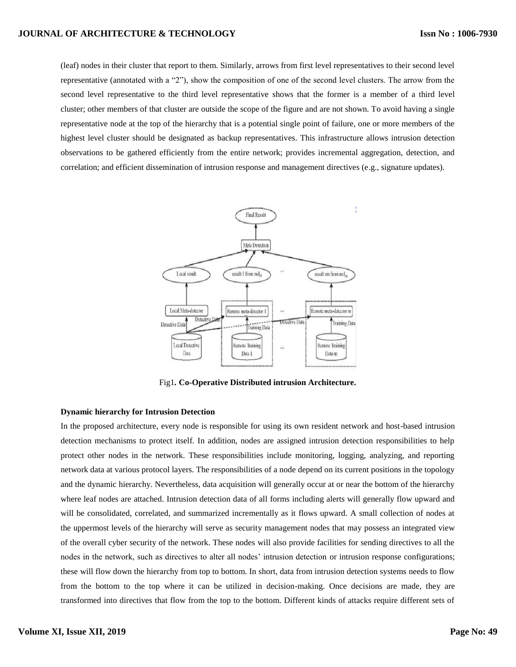#### **JOURNAL OF ARCHITECTURE & TECHNOLOGY**

(leaf) nodes in their cluster that report to them. Similarly, arrows from first level representatives to their second level representative (annotated with a "2"), show the composition of one of the second level clusters. The arrow from the second level representative to the third level representative shows that the former is a member of a third level cluster; other members of that cluster are outside the scope of the figure and are not shown. To avoid having a single representative node at the top of the hierarchy that is a potential single point of failure, one or more members of the highest level cluster should be designated as backup representatives. This infrastructure allows intrusion detection observations to be gathered efficiently from the entire network; provides incremental aggregation, detection, and correlation; and efficient dissemination of intrusion response and management directives (e.g., signature updates).



Fig1*.* **Co-Operative Distributed intrusion Architecture.**

### **Dynamic hierarchy for Intrusion Detection**

In the proposed architecture, every node is responsible for using its own resident network and host-based intrusion detection mechanisms to protect itself. In addition, nodes are assigned intrusion detection responsibilities to help protect other nodes in the network. These responsibilities include monitoring, logging, analyzing, and reporting network data at various protocol layers. The responsibilities of a node depend on its current positions in the topology and the dynamic hierarchy. Nevertheless, data acquisition will generally occur at or near the bottom of the hierarchy where leaf nodes are attached. Intrusion detection data of all forms including alerts will generally flow upward and will be consolidated, correlated, and summarized incrementally as it flows upward. A small collection of nodes at the uppermost levels of the hierarchy will serve as security management nodes that may possess an integrated view of the overall cyber security of the network. These nodes will also provide facilities for sending directives to all the nodes in the network, such as directives to alter all nodes' intrusion detection or intrusion response configurations; these will flow down the hierarchy from top to bottom. In short, data from intrusion detection systems needs to flow from the bottom to the top where it can be utilized in decision-making. Once decisions are made, they are transformed into directives that flow from the top to the bottom. Different kinds of attacks require different sets of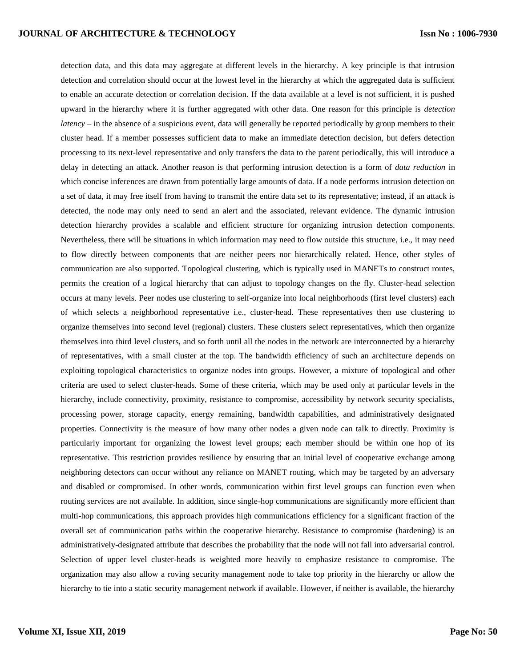detection data, and this data may aggregate at different levels in the hierarchy. A key principle is that intrusion detection and correlation should occur at the lowest level in the hierarchy at which the aggregated data is sufficient to enable an accurate detection or correlation decision. If the data available at a level is not sufficient, it is pushed upward in the hierarchy where it is further aggregated with other data. One reason for this principle is *detection latency* – in the absence of a suspicious event, data will generally be reported periodically by group members to their cluster head. If a member possesses sufficient data to make an immediate detection decision, but defers detection processing to its next-level representative and only transfers the data to the parent periodically, this will introduce a delay in detecting an attack. Another reason is that performing intrusion detection is a form of *data reduction* in which concise inferences are drawn from potentially large amounts of data. If a node performs intrusion detection on a set of data, it may free itself from having to transmit the entire data set to its representative; instead, if an attack is detected, the node may only need to send an alert and the associated, relevant evidence. The dynamic intrusion detection hierarchy provides a scalable and efficient structure for organizing intrusion detection components. Nevertheless, there will be situations in which information may need to flow outside this structure, i.e., it may need to flow directly between components that are neither peers nor hierarchically related. Hence, other styles of communication are also supported. Topological clustering, which is typically used in MANETs to construct routes, permits the creation of a logical hierarchy that can adjust to topology changes on the fly. Cluster-head selection occurs at many levels. Peer nodes use clustering to self-organize into local neighborhoods (first level clusters) each of which selects a neighborhood representative i.e., cluster-head. These representatives then use clustering to organize themselves into second level (regional) clusters. These clusters select representatives, which then organize themselves into third level clusters, and so forth until all the nodes in the network are interconnected by a hierarchy of representatives, with a small cluster at the top. The bandwidth efficiency of such an architecture depends on exploiting topological characteristics to organize nodes into groups. However, a mixture of topological and other criteria are used to select cluster-heads. Some of these criteria, which may be used only at particular levels in the hierarchy, include connectivity, proximity, resistance to compromise, accessibility by network security specialists, processing power, storage capacity, energy remaining, bandwidth capabilities, and administratively designated properties. Connectivity is the measure of how many other nodes a given node can talk to directly. Proximity is particularly important for organizing the lowest level groups; each member should be within one hop of its representative. This restriction provides resilience by ensuring that an initial level of cooperative exchange among neighboring detectors can occur without any reliance on MANET routing, which may be targeted by an adversary and disabled or compromised. In other words, communication within first level groups can function even when routing services are not available. In addition, since single-hop communications are significantly more efficient than multi-hop communications, this approach provides high communications efficiency for a significant fraction of the overall set of communication paths within the cooperative hierarchy. Resistance to compromise (hardening) is an administratively-designated attribute that describes the probability that the node will not fall into adversarial control. Selection of upper level cluster-heads is weighted more heavily to emphasize resistance to compromise. The organization may also allow a roving security management node to take top priority in the hierarchy or allow the hierarchy to tie into a static security management network if available. However, if neither is available, the hierarchy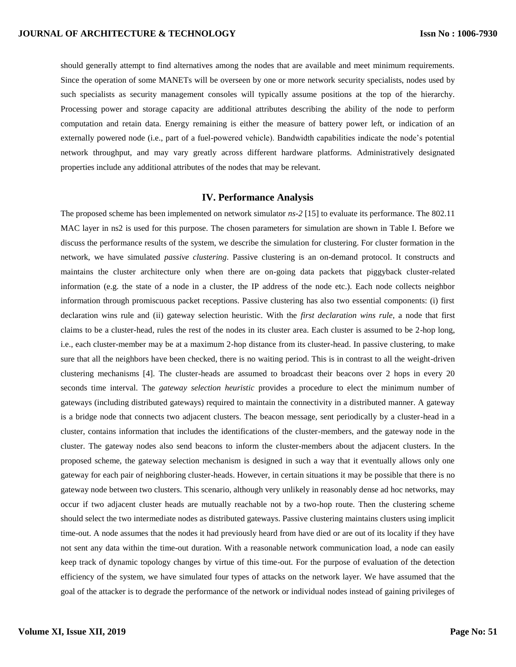should generally attempt to find alternatives among the nodes that are available and meet minimum requirements. Since the operation of some MANETs will be overseen by one or more network security specialists, nodes used by such specialists as security management consoles will typically assume positions at the top of the hierarchy. Processing power and storage capacity are additional attributes describing the ability of the node to perform computation and retain data. Energy remaining is either the measure of battery power left, or indication of an externally powered node (i.e., part of a fuel-powered vehicle). Bandwidth capabilities indicate the node's potential network throughput, and may vary greatly across different hardware platforms. Administratively designated properties include any additional attributes of the nodes that may be relevant.

#### **IV. Performance Analysis**

The proposed scheme has been implemented on network simulator *ns-2* [15] to evaluate its performance. The 802.11 MAC layer in ns2 is used for this purpose. The chosen parameters for simulation are shown in Table I. Before we discuss the performance results of the system, we describe the simulation for clustering. For cluster formation in the network, we have simulated *passive clustering*. Passive clustering is an on-demand protocol. It constructs and maintains the cluster architecture only when there are on-going data packets that piggyback cluster-related information (e.g. the state of a node in a cluster, the IP address of the node etc.). Each node collects neighbor information through promiscuous packet receptions. Passive clustering has also two essential components: (i) first declaration wins rule and (ii) gateway selection heuristic. With the *first declaration wins rule*, a node that first claims to be a cluster-head, rules the rest of the nodes in its cluster area. Each cluster is assumed to be 2-hop long, i.e., each cluster-member may be at a maximum 2-hop distance from its cluster-head. In passive clustering, to make sure that all the neighbors have been checked, there is no waiting period. This is in contrast to all the weight-driven clustering mechanisms [4]. The cluster-heads are assumed to broadcast their beacons over 2 hops in every 20 seconds time interval. The *gateway selection heuristic* provides a procedure to elect the minimum number of gateways (including distributed gateways) required to maintain the connectivity in a distributed manner. A gateway is a bridge node that connects two adjacent clusters. The beacon message, sent periodically by a cluster-head in a cluster, contains information that includes the identifications of the cluster-members, and the gateway node in the cluster. The gateway nodes also send beacons to inform the cluster-members about the adjacent clusters. In the proposed scheme, the gateway selection mechanism is designed in such a way that it eventually allows only one gateway for each pair of neighboring cluster-heads. However, in certain situations it may be possible that there is no gateway node between two clusters. This scenario, although very unlikely in reasonably dense ad hoc networks, may occur if two adjacent cluster heads are mutually reachable not by a two-hop route. Then the clustering scheme should select the two intermediate nodes as distributed gateways. Passive clustering maintains clusters using implicit time-out. A node assumes that the nodes it had previously heard from have died or are out of its locality if they have not sent any data within the time-out duration. With a reasonable network communication load, a node can easily keep track of dynamic topology changes by virtue of this time-out. For the purpose of evaluation of the detection efficiency of the system, we have simulated four types of attacks on the network layer. We have assumed that the goal of the attacker is to degrade the performance of the network or individual nodes instead of gaining privileges of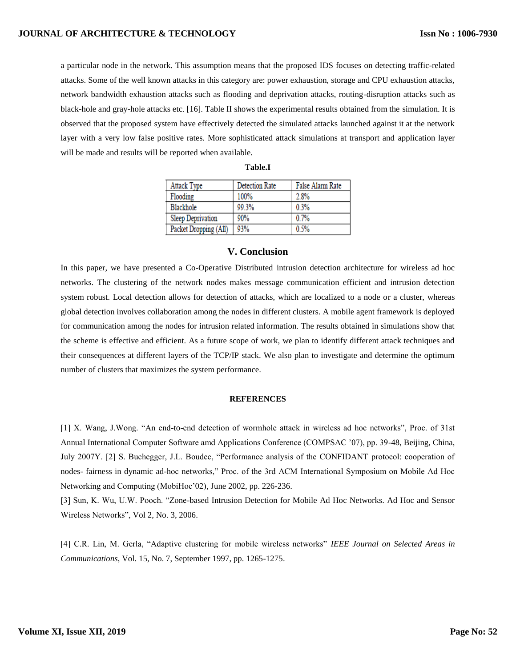a particular node in the network. This assumption means that the proposed IDS focuses on detecting traffic-related attacks. Some of the well known attacks in this category are: power exhaustion, storage and CPU exhaustion attacks, network bandwidth exhaustion attacks such as flooding and deprivation attacks, routing-disruption attacks such as black-hole and gray-hole attacks etc. [16]. Table II shows the experimental results obtained from the simulation. It is observed that the proposed system have effectively detected the simulated attacks launched against it at the network layer with a very low false positive rates. More sophisticated attack simulations at transport and application layer will be made and results will be reported when available.

| <b>Attack Type</b>       | <b>Detection Rate</b> | False Alarm Rate |
|--------------------------|-----------------------|------------------|
| Flooding                 | 100%                  | 2.8%             |
| <b>Blackhole</b>         | 99.3%                 | 0.3%             |
| <b>Sleep Deprivation</b> | 90%                   | 0.7%             |
| Packet Dropping (All)    | 93%                   | 0.5%             |

|--|--|

## **V. Conclusion**

In this paper, we have presented a Co-Operative Distributed intrusion detection architecture for wireless ad hoc networks. The clustering of the network nodes makes message communication efficient and intrusion detection system robust. Local detection allows for detection of attacks, which are localized to a node or a cluster, whereas global detection involves collaboration among the nodes in different clusters. A mobile agent framework is deployed for communication among the nodes for intrusion related information. The results obtained in simulations show that the scheme is effective and efficient. As a future scope of work, we plan to identify different attack techniques and their consequences at different layers of the TCP/IP stack. We also plan to investigate and determine the optimum number of clusters that maximizes the system performance.

#### **REFERENCES**

[1] X. Wang, J.Wong. "An end-to-end detection of wormhole attack in wireless ad hoc networks", Proc. of 31st Annual International Computer Software amd Applications Conference (COMPSAC '07), pp. 39-48, Beijing, China, July 2007Y. [2] S. Buchegger, J.L. Boudec, "Performance analysis of the CONFIDANT protocol: cooperation of nodes- fairness in dynamic ad-hoc networks," Proc. of the 3rd ACM International Symposium on Mobile Ad Hoc Networking and Computing (MobiHoc'02), June 2002, pp. 226-236.

[3] Sun, K. Wu, U.W. Pooch. "Zone-based Intrusion Detection for Mobile Ad Hoc Networks. Ad Hoc and Sensor Wireless Networks", Vol 2, No. 3, 2006.

[4] C.R. Lin, M. Gerla, "Adaptive clustering for mobile wireless networks" *IEEE Journal on Selected Areas in Communications*, Vol. 15, No. 7, September 1997, pp. 1265-1275.